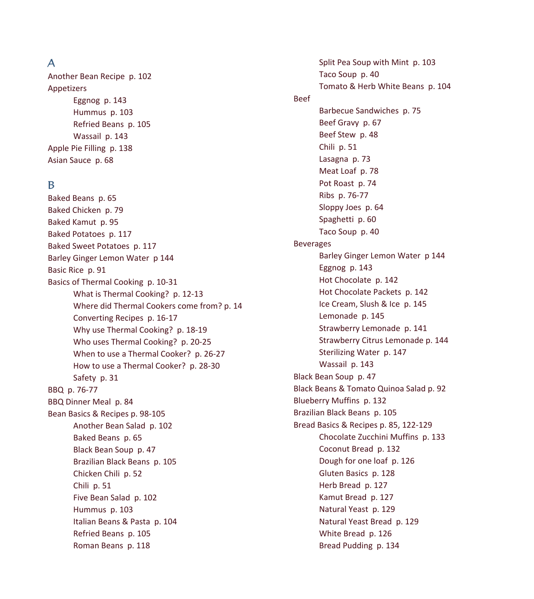# A

Another Bean Recipe p. 102 Appetizers Eggnog p. 143 Hummus p. 103 Refried Beans p. 105 Wassail p. 143 Apple Pie Filling p. 138 Asian Sauce p. 68

# B

Baked Beans p. 65 Baked Chicken p. 79 Baked Kamut p. 95 Baked Potatoes p. 117 Baked Sweet Potatoes p. 117 Barley Ginger Lemon Water p 144 Basic Rice p. 91 Basics of Thermal Cooking p. 10-31 What is Thermal Cooking? p. 12-13 Where did Thermal Cookers come from? p. 14 Converting Recipes p. 16-17 Why use Thermal Cooking? p. 18-19 Who uses Thermal Cooking? p. 20-25 When to use a Thermal Cooker? p. 26-27 How to use a Thermal Cooker? p. 28-30 Safety p. 31 BBQ p. 76-77 BBQ Dinner Meal p. 84 Bean Basics & Recipes p. 98-105 Another Bean Salad p. 102 Baked Beans p. 65 Black Bean Soup p. 47 Brazilian Black Beans p. 105 Chicken Chili p. 52 Chili p. 51 Five Bean Salad p. 102 Hummus p. 103 Italian Beans & Pasta p. 104 Refried Beans p. 105 Roman Beans p. 118

 Split Pea Soup with Mint p. 103 Taco Soup p. 40 Tomato & Herb White Beans p. 104 Beef Barbecue Sandwiches p. 75 Beef Gravy p. 67 Beef Stew p. 48 Chili p. 51 Lasagna p. 73 Meat Loaf p. 78 Pot Roast p. 74 Ribs p. 76-77 Sloppy Joes p. 64 Spaghetti p. 60 Taco Soup p. 40 Beverages Barley Ginger Lemon Water p 144 Eggnog p. 143 Hot Chocolate p. 142 Hot Chocolate Packets p. 142 Ice Cream, Slush & Ice p. 145 Lemonade p. 145 Strawberry Lemonade p. 141 Strawberry Citrus Lemonade p. 144 Sterilizing Water p. 147 Wassail p. 143 Black Bean Soup p. 47 Black Beans & Tomato Quinoa Salad p. 92 Blueberry Muffins p. 132 Brazilian Black Beans p. 105 Bread Basics & Recipes p. 85, 122-129 Chocolate Zucchini Muffins p. 133 Coconut Bread p. 132 Dough for one loaf p. 126 Gluten Basics p. 128 Herb Bread p. 127 Kamut Bread p. 127 Natural Yeast p. 129 Natural Yeast Bread p. 129 White Bread p. 126 Bread Pudding p. 134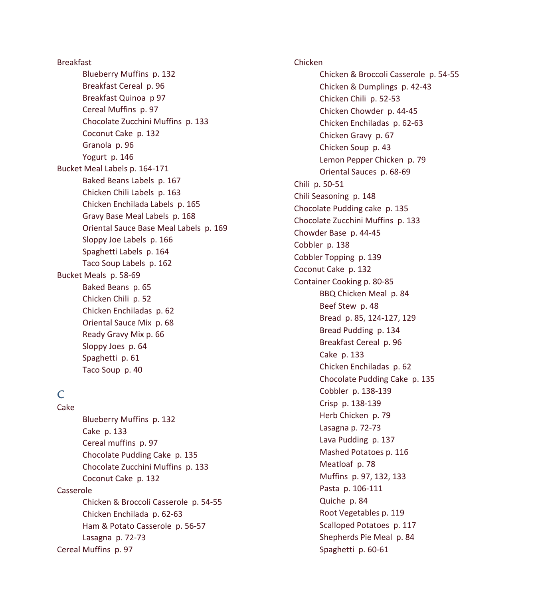Breakfast Blueberry Muffins p. 132 Breakfast Cereal p. 96 Breakfast Quinoa p 97 Cereal Muffins p. 97 Chocolate Zucchini Muffins p. 133 Coconut Cake p. 132 Granola p. 96 Yogurt p. 146 Bucket Meal Labels p. 164-171 Baked Beans Labels p. 167 Chicken Chili Labels p. 163 Chicken Enchilada Labels p. 165 Gravy Base Meal Labels p. 168 Oriental Sauce Base Meal Labels p. 169 Sloppy Joe Labels p. 166 Spaghetti Labels p. 164 Taco Soup Labels p. 162 Bucket Meals p. 58-69 Baked Beans p. 65 Chicken Chili p. 52 Chicken Enchiladas p. 62 Oriental Sauce Mix p. 68 Ready Gravy Mix p. 66 Sloppy Joes p. 64 Spaghetti p. 61 Taco Soup p. 40

# $\mathcal{C}_{\mathcal{C}}$

Cake Blueberry Muffins p. 132 Cake p. 133 Cereal muffins p. 97 Chocolate Pudding Cake p. 135 Chocolate Zucchini Muffins p. 133 Coconut Cake p. 132 Casserole Chicken & Broccoli Casserole p. 54-55 Chicken Enchilada p. 62-63 Ham & Potato Casserole p. 56-57 Lasagna p. 72-73 Cereal Muffins p. 97

Chicken Chicken & Broccoli Casserole p. 54-55 Chicken & Dumplings p. 42-43 Chicken Chili p. 52-53 Chicken Chowder p. 44-45 Chicken Enchiladas p. 62-63 Chicken Gravy p. 67 Chicken Soup p. 43 Lemon Pepper Chicken p. 79 Oriental Sauces p. 68-69 Chili p. 50-51 Chili Seasoning p. 148 Chocolate Pudding cake p. 135 Chocolate Zucchini Muffins p. 133 Chowder Base p. 44-45 Cobbler p. 138 Cobbler Topping p. 139 Coconut Cake p. 132 Container Cooking p. 80-85 BBQ Chicken Meal p. 84 Beef Stew p. 48 Bread p. 85, 124-127, 129 Bread Pudding p. 134 Breakfast Cereal p. 96 Cake p. 133 Chicken Enchiladas p. 62 Chocolate Pudding Cake p. 135 Cobbler p. 138-139 Crisp p. 138-139 Herb Chicken p. 79 Lasagna p. 72-73 Lava Pudding p. 137 Mashed Potatoes p. 116 Meatloaf p. 78 Muffins p. 97, 132, 133 Pasta p. 106-111 Quiche p. 84 Root Vegetables p. 119 Scalloped Potatoes p. 117 Shepherds Pie Meal p. 84 Spaghetti p. 60-61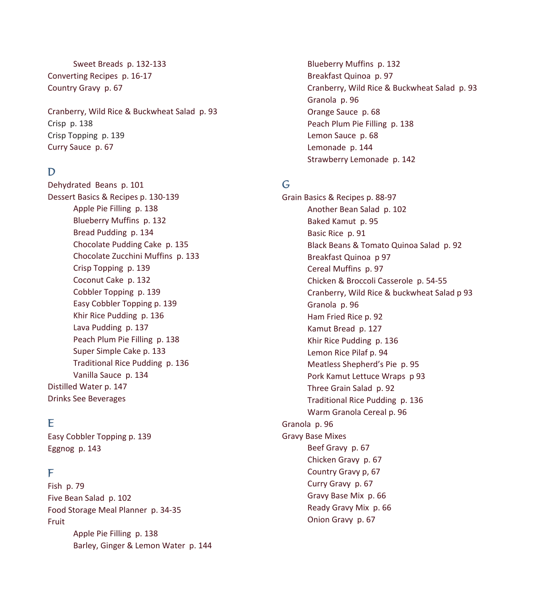Sweet Breads p. 132-133 Converting Recipes p. 16-17 Country Gravy p. 67

Cranberry, Wild Rice & Buckwheat Salad p. 93 Crisp p. 138 Crisp Topping p. 139 Curry Sauce p. 67

# D

Dehydrated Beans p. 101 Dessert Basics & Recipes p. 130-139 Apple Pie Filling p. 138 Blueberry Muffins p. 132 Bread Pudding p. 134 Chocolate Pudding Cake p. 135 Chocolate Zucchini Muffins p. 133 Crisp Topping p. 139 Coconut Cake p. 132 Cobbler Topping p. 139 Easy Cobbler Topping p. 139 Khir Rice Pudding p. 136 Lava Pudding p. 137 Peach Plum Pie Filling p. 138 Super Simple Cake p. 133 Traditional Rice Pudding p. 136 Vanilla Sauce p. 134 Distilled Water p. 147 Drinks See Beverages

# E

Easy Cobbler Topping p. 139 Eggnog p. 143

#### F

Fish p. 79 Five Bean Salad p. 102 Food Storage Meal Planner p. 34-35 Fruit Apple Pie Filling p. 138 Barley, Ginger & Lemon Water p. 144  Blueberry Muffins p. 132 Breakfast Quinoa p. 97 Cranberry, Wild Rice & Buckwheat Salad p. 93 Granola p. 96 Orange Sauce p. 68 Peach Plum Pie Filling p. 138 Lemon Sauce p. 68 Lemonade p. 144 Strawberry Lemonade p. 142

# G

Grain Basics & Recipes p. 88-97 Another Bean Salad p. 102 Baked Kamut p. 95 Basic Rice p. 91 Black Beans & Tomato Quinoa Salad p. 92 Breakfast Quinoa p 97 Cereal Muffins p. 97 Chicken & Broccoli Casserole p. 54-55 Cranberry, Wild Rice & buckwheat Salad p 93 Granola p. 96 Ham Fried Rice p. 92 Kamut Bread p. 127 Khir Rice Pudding p. 136 Lemon Rice Pilaf p. 94 Meatless Shepherd's Pie p. 95 Pork Kamut Lettuce Wraps p 93 Three Grain Salad p. 92 Traditional Rice Pudding p. 136 Warm Granola Cereal p. 96 Granola p. 96 Gravy Base Mixes Beef Gravy p. 67 Chicken Gravy p. 67 Country Gravy p, 67 Curry Gravy p. 67 Gravy Base Mix p. 66 Ready Gravy Mix p. 66 Onion Gravy p. 67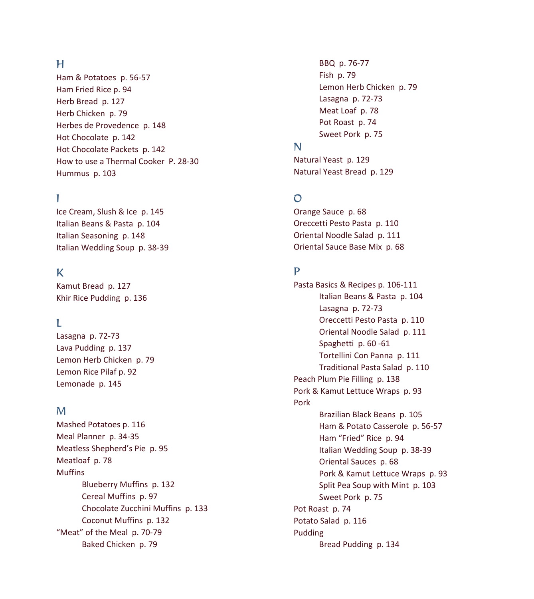# H

Ham & Potatoes p. 56-57 Ham Fried Rice p. 94 Herb Bread p. 127 Herb Chicken p. 79 Herbes de Provedence p. 148 Hot Chocolate p. 142 Hot Chocolate Packets p. 142 How to use a Thermal Cooker P. 28-30 Hummus p. 103

# I

Ice Cream, Slush & Ice p. 145 Italian Beans & Pasta p. 104 Italian Seasoning p. 148 Italian Wedding Soup p. 38-39

# K

Kamut Bread p. 127 Khir Rice Pudding p. 136

# L

Lasagna p. 72-73 Lava Pudding p. 137 Lemon Herb Chicken p. 79 Lemon Rice Pilaf p. 92 Lemonade p. 145

### M

Mashed Potatoes p. 116 Meal Planner p. 34-35 Meatless Shepherd's Pie p. 95 Meatloaf p. 78 **Muffins**  Blueberry Muffins p. 132 Cereal Muffins p. 97 Chocolate Zucchini Muffins p. 133 Coconut Muffins p. 132 "Meat" of the Meal p. 70-79 Baked Chicken p. 79

 BBQ p. 76-77 Fish p. 79 Lemon Herb Chicken p. 79 Lasagna p. 72-73 Meat Loaf p. 78 Pot Roast p. 74 Sweet Pork p. 75

# N

Natural Yeast p. 129 Natural Yeast Bread p. 129

### $\Omega$

Orange Sauce p. 68 Oreccetti Pesto Pasta p. 110 Oriental Noodle Salad p. 111 Oriental Sauce Base Mix p. 68

# P

Pasta Basics & Recipes p. 106-111 Italian Beans & Pasta p. 104 Lasagna p. 72-73 Oreccetti Pesto Pasta p. 110 Oriental Noodle Salad p. 111 Spaghetti p. 60 -61 Tortellini Con Panna p. 111 Traditional Pasta Salad p. 110 Peach Plum Pie Filling p. 138 Pork & Kamut Lettuce Wraps p. 93 Pork Brazilian Black Beans p. 105 Ham & Potato Casserole p. 56-57 Ham "Fried" Rice p. 94 Italian Wedding Soup p. 38-39 Oriental Sauces p. 68 Pork & Kamut Lettuce Wraps p. 93 Split Pea Soup with Mint p. 103 Sweet Pork p. 75 Pot Roast p. 74 Potato Salad p. 116 Pudding Bread Pudding p. 134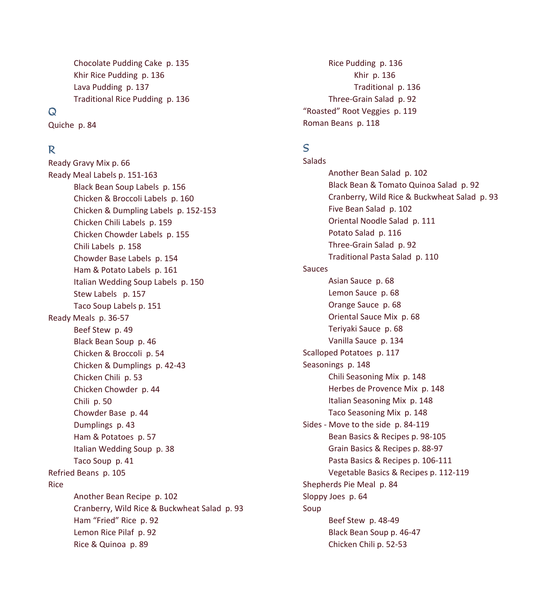Chocolate Pudding Cake p. 135 Khir Rice Pudding p. 136 Lava Pudding p. 137 Traditional Rice Pudding p. 136

### $\Omega$

Quiche p. 84

#### R

Ready Gravy Mix p. 66 Ready Meal Labels p. 151-163 Black Bean Soup Labels p. 156 Chicken & Broccoli Labels p. 160 Chicken & Dumpling Labels p. 152-153 Chicken Chili Labels p. 159 Chicken Chowder Labels p. 155 Chili Labels p. 158 Chowder Base Labels p. 154 Ham & Potato Labels p. 161 Italian Wedding Soup Labels p. 150 Stew Labels p. 157 Taco Soup Labels p. 151 Ready Meals p. 36-57 Beef Stew p. 49 Black Bean Soup p. 46 Chicken & Broccoli p. 54 Chicken & Dumplings p. 42-43 Chicken Chili p. 53 Chicken Chowder p. 44 Chili p. 50 Chowder Base p. 44 Dumplings p. 43 Ham & Potatoes p. 57 Italian Wedding Soup p. 38 Taco Soup p. 41 Refried Beans p. 105 Rice Another Bean Recipe p. 102 Cranberry, Wild Rice & Buckwheat Salad p. 93 Ham "Fried" Rice p. 92 Lemon Rice Pilaf p. 92 Rice & Quinoa p. 89

 Rice Pudding p. 136 Khir p. 136 Traditional p. 136 Three-Grain Salad p. 92 "Roasted" Root Veggies p. 119 Roman Beans p. 118

### S

Salads Another Bean Salad p. 102 Black Bean & Tomato Quinoa Salad p. 92 Cranberry, Wild Rice & Buckwheat Salad p. 93 Five Bean Salad p. 102 Oriental Noodle Salad p. 111 Potato Salad p. 116 Three-Grain Salad p. 92 Traditional Pasta Salad p. 110 Sauces Asian Sauce p. 68 Lemon Sauce p. 68 Orange Sauce p. 68 Oriental Sauce Mix p. 68 Teriyaki Sauce p. 68 Vanilla Sauce p. 134 Scalloped Potatoes p. 117 Seasonings p. 148 Chili Seasoning Mix p. 148 Herbes de Provence Mix p. 148 Italian Seasoning Mix p. 148 Taco Seasoning Mix p. 148 Sides - Move to the side p. 84-119 Bean Basics & Recipes p. 98-105 Grain Basics & Recipes p. 88-97 Pasta Basics & Recipes p. 106-111 Vegetable Basics & Recipes p. 112-119 Shepherds Pie Meal p. 84 Sloppy Joes p. 64 Soup Beef Stew p. 48-49 Black Bean Soup p. 46-47 Chicken Chili p. 52-53